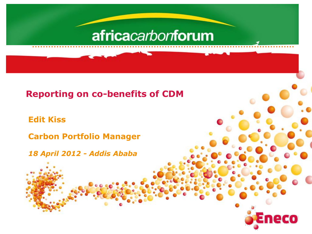# africacarbonforum

#### **Reporting on co-benefits of CDM**

**Edit Kiss**

**Carbon Portfolio Manager**

*18 April 2012 - Addis Ababa*

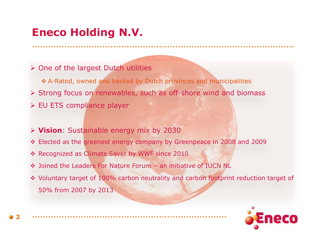### ................................................................................................. **Eneco Holding N.V.**

- $\triangleright$  One of the largest Dutch utilities
- A-Rated, owned and backed by Dutch provinces and municipalities Strong focus on renewables, such as off-shore wind and biomass  $\triangleright$  EU ETS compliance player
- **Vision**: Sustainable energy mix by 2030
- Elected as the greenest energy company by Greenpeace in 2008 and 2009
- Recognized as Climate Saver by WWF since 2010
- ◆ Joined the Leaders For Nature Forum an initiative of IUCN NL

........................................................................

 Voluntary target of 100% carbon neutrality and carbon footprint reduction target of 50% from 2007 by 2013

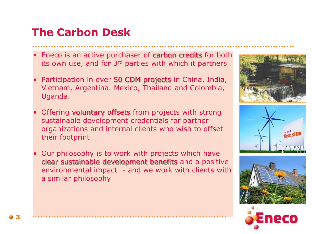## **The Carbon Desk**

Eneco is an active purchaser of carbon credits for both its own use, and for 3<sup>rd</sup> parties with which it partners

.................................................................................................

- Participation in over 50 CDM projects in China, India, Vietnam, Argentina. Mexico, Thailand and Colombia, Uganda.
- Offering voluntary offsets from projects with strong sustainable development credentials for partner organizations and internal clients who wish to offset their footprint
- Our philosophy is to work with projects which have clear sustainable development benefits and a positive environmental impact - and we work with clients with a similar philosophy

........................................................................







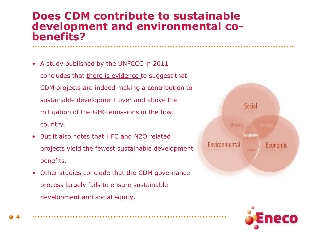#### ................................................................................................. **Does CDM contribute to sustainable development and environmental cobenefits?**

- A study published by the UNFCCC in 2011 concludes that there is evidence to suggest that CDM projects are indeed making a contribution to sustainable development over and above the mitigation of the GHG emissions in the host country.
- But it also notes that HFC and N2O related projects yield the fewest sustainable development benefits.
- Other studies conclude that the CDM governance process largely fails to ensure sustainable development and social equity.

........................................................................



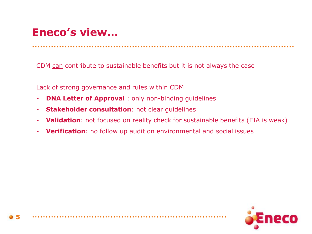### ................................................................................................. **Eneco's view…**

CDM can contribute to sustainable benefits but it is not always the case

Lack of strong governance and rules within CDM

- **DNA Letter of Approval** : only non-binding guidelines
- **Stakeholder consultation**: not clear guidelines
- **Validation**: not focused on reality check for sustainable benefits (EIA is weak)
- **Verification**: no follow up audit on environmental and social issues

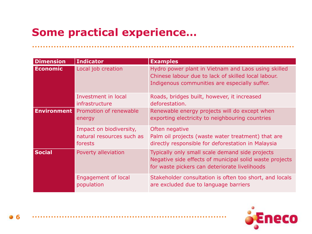# **Some practical experience…**

........................................................................

| <b>Dimension</b>   | <b>Indicator</b>                                                | <b>Examples</b>                                                                                                                                             |
|--------------------|-----------------------------------------------------------------|-------------------------------------------------------------------------------------------------------------------------------------------------------------|
| <b>Economic</b>    | Local job creation                                              | Hydro power plant in Vietnam and Laos using skilled<br>Chinese labour due to lack of skilled local labour.<br>Indigenous communities are especially suffer. |
|                    | Investment in local<br>infrastructure                           | Roads, bridges built, however, it increased<br>deforestation.                                                                                               |
| <b>Environment</b> | Promotion of renewable<br>energy                                | Renewable energy projects will do except when<br>exporting electricity to neighbouring countries                                                            |
|                    | Impact on biodiversity,<br>natural resources such as<br>forests | Often negative<br>Palm oil projects (waste water treatment) that are<br>directly responsible for deforestation in Malaysia                                  |
| <b>Social</b>      | Poverty alleviation                                             | Typically only small scale demand side projects<br>Negative side effects of municipal solid waste projects<br>for waste pickers can deteriorate livelihoods |
|                    | <b>Engagement of local</b><br>population                        | Stakeholder consultation is often too short, and locals<br>are excluded due to language barriers                                                            |

.................................................................................................

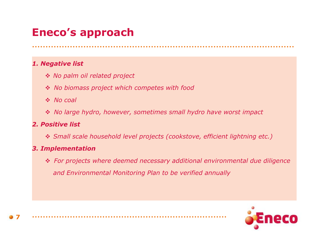### ................................................................................................. **Eneco's approach**

#### *1. Negative list*

- *No palm oil related project*
- *No biomass project which competes with food*

........................................................................

- *No coal*
- *No large hydro, however, sometimes small hydro have worst impact*

#### *2. Positive list*

*Small scale household level projects (cookstove, efficient lightning etc.)* 

#### *3. Implementation*

 *For projects where deemed necessary additional environmental due diligence and Environmental Monitoring Plan to be verified annually*

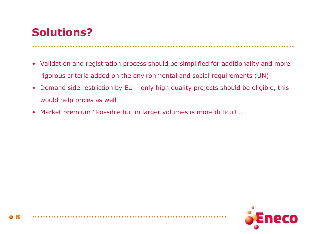### ................................................................................................. **Solutions?**

- Validation and registration process should be simplified for additionality and more rigorous criteria added on the environmental and social requirements (UN)
- Demand side restriction by EU only high quality projects should be eligible, this would help prices as well
- Market premium? Possible but in larger volumes is more difficult…

........................................................................